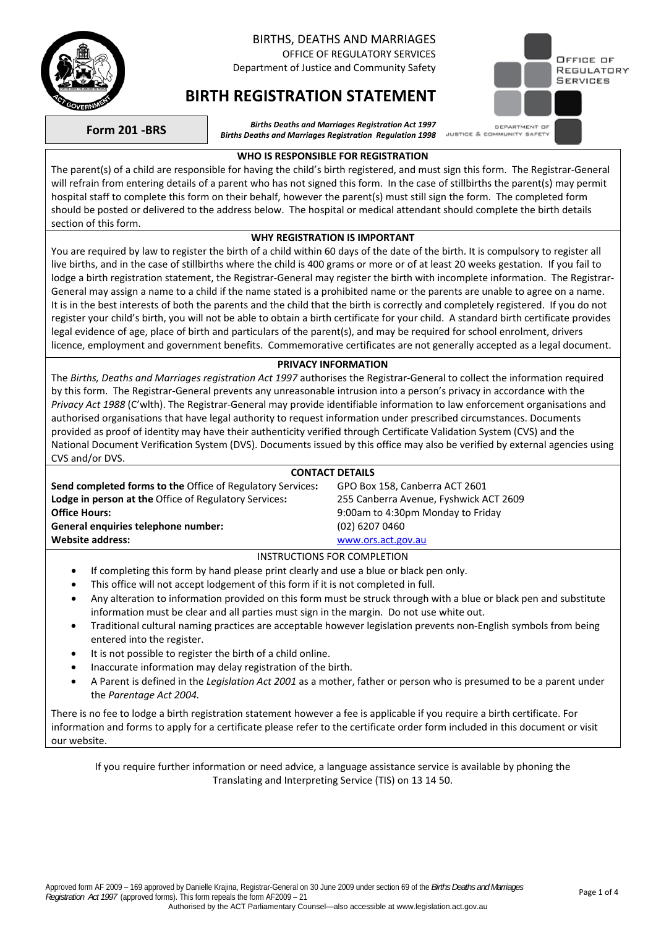

# BIRTHS, DEATHS AND MARRIAGES

OFFICE OF REGULATORY SERVICES Department of Justice and Community Safety



# **BIRTH REGISTRATION STATEMENT**

**Form 201 -BRS** *Births Deaths and Marriages Registration Act 1997 Births Deaths and Marriages Registration Regulation 1998* 

### **WHO IS RESPONSIBLE FOR REGISTRATION**

The parent(s) of a child are responsible for having the child's birth registered, and must sign this form. The Registrar-General will refrain from entering details of a parent who has not signed this form. In the case of stillbirths the parent(s) may permit hospital staff to complete this form on their behalf, however the parent(s) must still sign the form. The completed form should be posted or delivered to the address below. The hospital or medical attendant should complete the birth details section of this form.

### **WHY REGISTRATION IS IMPORTANT**

You are required by law to register the birth of a child within 60 days of the date of the birth. It is compulsory to register all live births, and in the case of stillbirths where the child is 400 grams or more or of at least 20 weeks gestation. If you fail to lodge a birth registration statement, the Registrar-General may register the birth with incomplete information. The Registrar-General may assign a name to a child if the name stated is a prohibited name or the parents are unable to agree on a name. It is in the best interests of both the parents and the child that the birth is correctly and completely registered. If you do not register your child's birth, you will not be able to obtain a birth certificate for your child. A standard birth certificate provides legal evidence of age, place of birth and particulars of the parent(s), and may be required for school enrolment, drivers licence, employment and government benefits. Commemorative certificates are not generally accepted as a legal document.

### **PRIVACY INFORMATION**

The *Births, Deaths and Marriages registration Act 1997* authorises the Registrar-General to collect the information required by this form. The Registrar-General prevents any unreasonable intrusion into a person's privacy in accordance with the *Privacy Act 1988* (C'wlth). The Registrar-General may provide identifiable information to law enforcement organisations and authorised organisations that have legal authority to request information under prescribed circumstances. Documents provided as proof of identity may have their authenticity verified through Certificate Validation System (CVS) and the National Document Verification System (DVS). Documents issued by this office may also be verified by external agencies using CVS and/or DVS.

## **CONTACT DETAILS**

| <b>Send completed forms to the Office of Regulatory Services:</b> | GPO Box 158, Canberra ACT 2601         |
|-------------------------------------------------------------------|----------------------------------------|
| <b>Lodge in person at the Office of Regulatory Services:</b>      | 255 Canberra Avenue, Fyshwick ACT 2609 |
| <b>Office Hours:</b>                                              | 9:00am to 4:30pm Monday to Friday      |
| General enquiries telephone number:                               | (02) 6207 0460                         |
| <b>Website address:</b>                                           | www.ors.act.gov.au                     |
|                                                                   | INCTRUCTIONS FOR COMPLETION            |

# INSTRUCTIONS FOR COMPLETION

- If completing this form by hand please print clearly and use a blue or black pen only.
- This office will not accept lodgement of this form if it is not completed in full.
- Any alteration to information provided on this form must be struck through with a blue or black pen and substitute information must be clear and all parties must sign in the margin. Do not use white out.
- Traditional cultural naming practices are acceptable however legislation prevents non-English symbols from being entered into the register.
- It is not possible to register the birth of a child online.
- Inaccurate information may delay registration of the birth.
- A Parent is defined in the *Legislation Act 2001* as a mother, father or person who is presumed to be a parent under the *Parentage Act 2004.*

There is no fee to lodge a birth registration statement however a fee is applicable if you require a birth certificate. For information and forms to apply for a certificate please refer to the certificate order form included in this document or visit our website.

If you require further information or need advice, a language assistance service is available by phoning the Translating and Interpreting Service (TIS) on 13 14 50.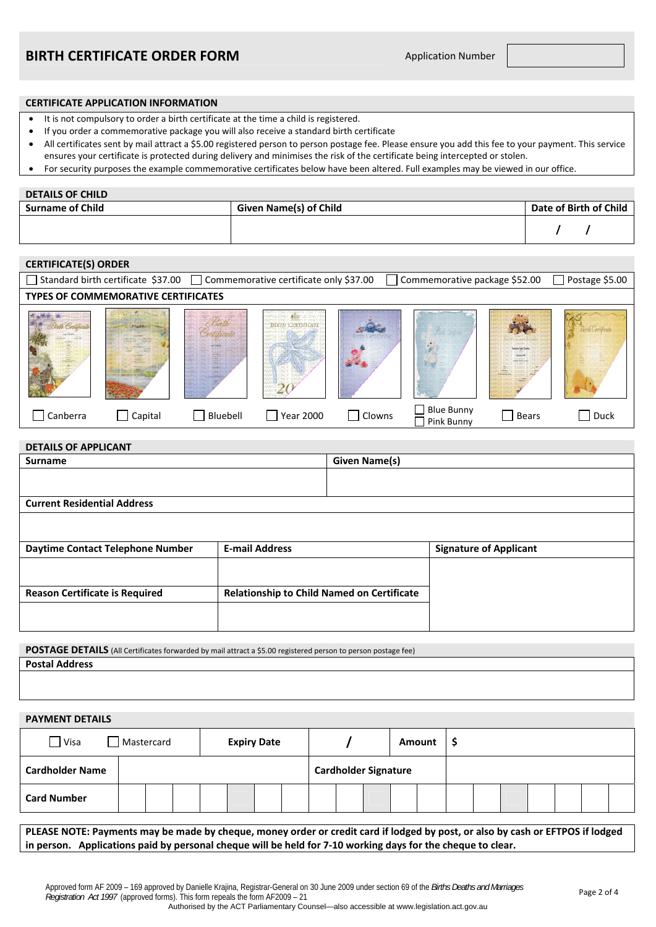#### **CERTIFICATE APPLICATION INFORMATION**

- It is not compulsory to order a birth certificate at the time a child is registered.
- If you order a commemorative package you will also receive a standard birth certificate
- All certificates sent by mail attract a \$5.00 registered person to person postage fee. Please ensure you add this fee to your payment. This service ensures your certificate is protected during delivery and minimises the risk of the certificate being intercepted or stolen.
- For security purposes the example commemorative certificates below have been altered. Full examples may be viewed in our office.

#### **DETAILS OF CHILD**

| <b>Surname of Child</b> | Given Name(s) of Child | Date of Birth of Child |
|-------------------------|------------------------|------------------------|
|                         |                        |                        |

# **CERTIFICATE(S) ORDER**

|                                            | Standard birth certificate \$37.00 |          | $\Box$ Commemorative certificate only \$37.00 |                   | Commemorative package \$52.00   |              | Postage \$5.00 |  |  |  |
|--------------------------------------------|------------------------------------|----------|-----------------------------------------------|-------------------|---------------------------------|--------------|----------------|--|--|--|
| <b>TYPES OF COMMEMORATIVE CERTIFICATES</b> |                                    |          |                                               |                   |                                 |              |                |  |  |  |
|                                            |                                    |          |                                               | <b>CT ANTIBOR</b> |                                 |              |                |  |  |  |
| Canberra<br>$\blacksquare$                 | Capital                            | Bluebell | <b>Year 2000</b>                              | Clowns            | <b>Blue Bunny</b><br>Pink Bunny | <b>Bears</b> | Duck           |  |  |  |

| <b>DETAILS OF APPLICANT</b>           |                                                   |                      |                               |  |  |  |
|---------------------------------------|---------------------------------------------------|----------------------|-------------------------------|--|--|--|
| <b>Surname</b>                        |                                                   | <b>Given Name(s)</b> |                               |  |  |  |
|                                       |                                                   |                      |                               |  |  |  |
|                                       |                                                   |                      |                               |  |  |  |
| <b>Current Residential Address</b>    |                                                   |                      |                               |  |  |  |
|                                       |                                                   |                      |                               |  |  |  |
|                                       |                                                   |                      |                               |  |  |  |
| Daytime Contact Telephone Number      | <b>E-mail Address</b>                             |                      | <b>Signature of Applicant</b> |  |  |  |
|                                       |                                                   |                      |                               |  |  |  |
|                                       |                                                   |                      |                               |  |  |  |
| <b>Reason Certificate is Required</b> | <b>Relationship to Child Named on Certificate</b> |                      |                               |  |  |  |
|                                       |                                                   |                      |                               |  |  |  |
|                                       |                                                   |                      |                               |  |  |  |
|                                       |                                                   |                      |                               |  |  |  |

**POSTAGE DETAILS** (All Certificates forwarded by mail attract a \$5.00 registered person to person postage fee) **Postal Address** 

#### **PAYMENT DETAILS**

| $\Box$ Visa            |  | Mastercard |  |                             | <b>Expiry Date</b> |  |  |  |  |  | Amount |  |  |  |  |  |
|------------------------|--|------------|--|-----------------------------|--------------------|--|--|--|--|--|--------|--|--|--|--|--|
| <b>Cardholder Name</b> |  |            |  | <b>Cardholder Signature</b> |                    |  |  |  |  |  |        |  |  |  |  |  |
| <b>Card Number</b>     |  |            |  |                             |                    |  |  |  |  |  |        |  |  |  |  |  |

**PLEASE NOTE: Payments may be made by cheque, money order or credit card if lodged by post, or also by cash or EFTPOS if lodged in person. Applications paid by personal cheque will be held for 7-10 working days for the cheque to clear.**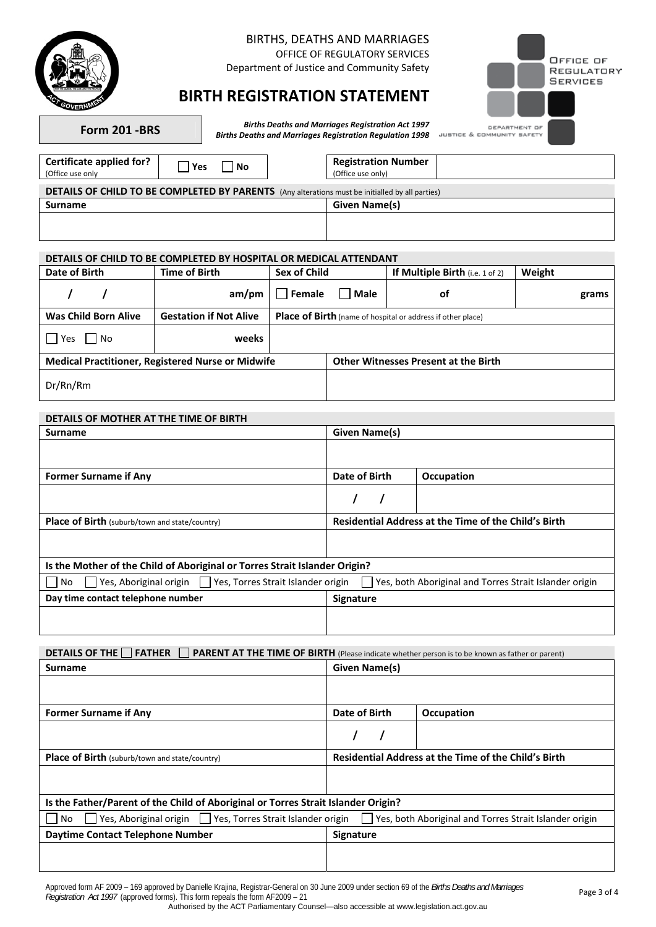

# BIRTHS, DEATHS AND MARRIAGES

OFFICE OF REGULATORY SERVICES

Department of Justice and Community Safety



# **BIRTH REGISTRATION STATEMENT**

**Form 201 -BRS** *Births Deaths and Marriages Registration Act 1997 Births Deaths and Marriages Registration Regulation 1998* 

| Certificate applied for?<br>(Office use only                                                    | Yes | <b>No</b> |  | <b>Registration Number</b><br>(Office use only) |  |  |  |  |  |
|-------------------------------------------------------------------------------------------------|-----|-----------|--|-------------------------------------------------|--|--|--|--|--|
| DETAILS OF CHILD TO BE COMPLETED BY PARENTS (Any alterations must be initialled by all parties) |     |           |  |                                                 |  |  |  |  |  |
| <b>Surname</b>                                                                                  |     |           |  | Given Name(s)                                   |  |  |  |  |  |
|                                                                                                 |     |           |  |                                                 |  |  |  |  |  |

## **DETAILS OF CHILD TO BE COMPLETED BY HOSPITAL OR MEDICAL ATTENDANT**

| Date of Birth               | <b>Time of Birth</b>                                     | Sex of Child                                                | If Multiple Birth (i.e. $1$ of 2)           | Weight |  |  |  |
|-----------------------------|----------------------------------------------------------|-------------------------------------------------------------|---------------------------------------------|--------|--|--|--|
|                             | am/pm                                                    | $\vert\vert$ Female<br>Male                                 | оf                                          | grams  |  |  |  |
| <b>Was Child Born Alive</b> | <b>Gestation if Not Alive</b>                            | Place of Birth (name of hospital or address if other place) |                                             |        |  |  |  |
| Yes<br>l INo                | weeks                                                    |                                                             |                                             |        |  |  |  |
|                             | <b>Medical Practitioner, Registered Nurse or Midwife</b> |                                                             | <b>Other Witnesses Present at the Birth</b> |        |  |  |  |
| Dr/Rn/Rm                    |                                                          |                                                             |                                             |        |  |  |  |

## **DETAILS OF MOTHER AT THE TIME OF BIRTH**

| <b>Surname</b>                                                             | Given Name(s)                                               |            |  |  |  |  |
|----------------------------------------------------------------------------|-------------------------------------------------------------|------------|--|--|--|--|
|                                                                            |                                                             |            |  |  |  |  |
| <b>Former Surname if Any</b>                                               | Date of Birth                                               | Occupation |  |  |  |  |
|                                                                            |                                                             |            |  |  |  |  |
| <b>Place of Birth</b> (suburb/town and state/country)                      | <b>Residential Address at the Time of the Child's Birth</b> |            |  |  |  |  |
|                                                                            |                                                             |            |  |  |  |  |
| Is the Mother of the Child of Aboriginal or Torres Strait Islander Origin? |                                                             |            |  |  |  |  |
| Yes, Aboriginal origin<br>Yes, Torres Strait Islander origin<br>No         | Yes, both Aboriginal and Torres Strait Islander origin      |            |  |  |  |  |
| Day time contact telephone number                                          | <b>Signature</b>                                            |            |  |  |  |  |
|                                                                            |                                                             |            |  |  |  |  |

**DETAILS OF THE FATHER FRARENT AT THE TIME OF BIRTH** (Please indicate whether person is to be known as father or parent)

| <b>Surname</b>                                                                    | Given Name(s)                                               |                   |  |  |  |
|-----------------------------------------------------------------------------------|-------------------------------------------------------------|-------------------|--|--|--|
|                                                                                   |                                                             |                   |  |  |  |
| <b>Former Surname if Any</b>                                                      | Date of Birth                                               | <b>Occupation</b> |  |  |  |
|                                                                                   |                                                             |                   |  |  |  |
| Place of Birth (suburb/town and state/country)                                    | <b>Residential Address at the Time of the Child's Birth</b> |                   |  |  |  |
|                                                                                   |                                                             |                   |  |  |  |
| Is the Father/Parent of the Child of Aboriginal or Torres Strait Islander Origin? |                                                             |                   |  |  |  |
| J Yes, Aboriginal origin   U Yes, Torres Strait Islander origin<br>No.            | Yes, both Aboriginal and Torres Strait Islander origin      |                   |  |  |  |
| Daytime Contact Telephone Number                                                  | <b>Signature</b>                                            |                   |  |  |  |
|                                                                                   |                                                             |                   |  |  |  |